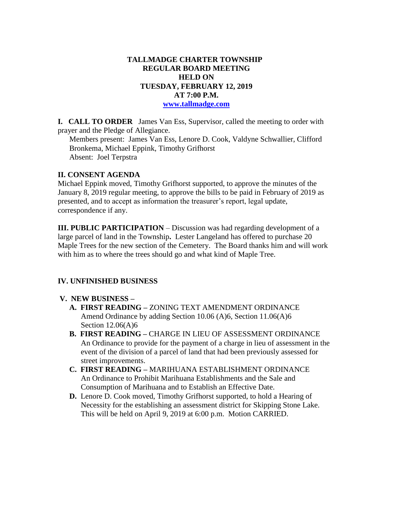### **TALLMADGE CHARTER TOWNSHIP REGULAR BOARD MEETING HELD ON TUESDAY, FEBRUARY 12, 2019 AT 7:00 P.M. [www.tallmadge.com](http://www.tallmadge.com/)**

**I. CALL TO ORDER** James Van Ess, Supervisor, called the meeting to order with prayer and the Pledge of Allegiance.

Members present: James Van Ess, Lenore D. Cook, Valdyne Schwallier, Clifford Bronkema, Michael Eppink, Timothy Grifhorst Absent: Joel Terpstra

# **II. CONSENT AGENDA**

Michael Eppink moved, Timothy Grifhorst supported, to approve the minutes of the January 8, 2019 regular meeting, to approve the bills to be paid in February of 2019 as presented, and to accept as information the treasurer's report, legal update, correspondence if any.

**III. PUBLIC PARTICIPATION** – Discussion was had regarding development of a large parcel of land in the Township**.** Lester Langeland has offered to purchase 20 Maple Trees for the new section of the Cemetery. The Board thanks him and will work with him as to where the trees should go and what kind of Maple Tree.

# **IV. UNFINISHED BUSINESS**

# **V. NEW BUSINESS –**

- **A. FIRST READING –** ZONING TEXT AMENDMENT ORDINANCE Amend Ordinance by adding Section 10.06 (A)6, Section 11.06(A)6 Section 12.06(A)6
- **B. FIRST READING –** CHARGE IN LIEU OF ASSESSMENT ORDINANCE An Ordinance to provide for the payment of a charge in lieu of assessment in the event of the division of a parcel of land that had been previously assessed for street improvements.
- **C. FIRST READING –** MARIHUANA ESTABLISHMENT ORDINANCE An Ordinance to Prohibit Marihuana Establishments and the Sale and Consumption of Marihuana and to Establish an Effective Date.
- **D.** Lenore D. Cook moved, Timothy Grifhorst supported, to hold a Hearing of Necessity for the establishing an assessment district for Skipping Stone Lake. This will be held on April 9, 2019 at 6:00 p.m. Motion CARRIED.